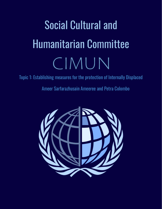# Social Cultural and Humanitarian Committee CIMUN

Topic 1: Establishing measures for the protection of Internally Displaced

Ameer Sarfarazhusain Ameeree and Petra Colombo

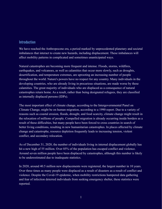# Introduction

We have reached the Anthropocene era, a period marked by unprecedented planetary and societal imbalances that interact to create new hazards, including displacement. These imbalances will affect mobility patterns in complicated and sometimes unanticipated ways.

Natural catastrophes are becoming more frequent and intense. Floods, storms, wildfires, earthquakes, and volcanoes, as well as calamities that occur more slowly, such as droughts, desertification, and temperature extremes, are uprooting an increasing number of people throughout the world. Nature's powers have no respect for any country. Many individuals in the developing countries, who are already living in precarious situations, are made worse by these calamities. The great majority of individuals who are displaced as a consequence of natural catastrophes return home. As a result, rather than being designated refugees, they are classified as internally displaced persons (IDPs).

The most important effect of climate change, according to the Intergovernmental Panel on Climate Change, might be on human migration, according to a 1990 report. Due to a variety of reasons such as coastal erosion, floods, drought, and food scarcity, climate change might result in the relocation of millions of people. Compelled migration is already occurring inside borders as a result of these difficulties, but many people have been forced to cross countries in search of better living conditions, resulting in new humanitarian catastrophes. In places affected by climate change and catastrophe, resource depletion frequently leads to increasing tension, violent conflict, and secondary relocation.

As of December 31, 2020, the number of individuals living in internal displacement globally has hit a new high of 55 million. Over 85% of the population has escaped conflict and violence. Around seven million people have been displaced by catastrophes, although this number is likely to be underestimated due to inadequate statistics.

In 2020, around 40.5 million new displacements were registered, the largest number in 10 years. Over three times as many people were displaced as a result of disasters as a result of conflict and violence. Despite the Covid-19 epidemic, when mobility restrictions hampered data gathering and fear of infection deterred individuals from seeking emergency shelter, these statistics were reported.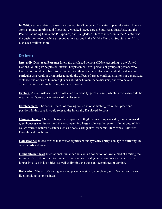In 2020, weather-related disasters accounted for 98 percent of all catastrophe relocation. Intense storms, monsoon rains, and floods have wreaked havoc across South Asia, East Asia, and the Pacific, including China, the Philippines, and Bangladesh. Hurricane season in the Atlantic was the busiest on record, while extended rainy seasons in the Middle East and Sub-Saharan Africa displaced millions more.

# Key Terms

**Internally Displaced Persons:** Internally displaced persons (IDPs), according to the United Nations Guiding Principles on Internal Displacement, are "persons or groups of persons who have been forced or obliged to flee or to leave their homes or places of habitual residence, in particular as a result of or in order to avoid the effects of armed conflict, situations of generalized violence, violations of human rights or natural or human-made disasters, and who have not crossed an internationally recognized state border.

**Factors:** A circumstance, fact or influence that usually gives a result, which in this case could be regarded as factors or causations of displacement.

**Displacement:** The act or process of moving someone or something from their place and position. In this case it would refer to the Internally Displaced Persons.

**Climate change:** Climate change encompasses both global warming caused by human-caused greenhouse gas emissions and the accompanying large-scale weather pattern alterations. Which causes various natural disasters such as floods, earthquakes, tsunamis, Hurricanes, Wildfires, Drought and much more.

**Catastrophe:** an occurrence that causes significant and typically abrupt damage or suffering. In other words a disaster.

**Humanitarian law:** International humanitarian law is a collection of laws aimed at limiting the impacts of armed conflict for humanitarian reasons. It safeguards those who are not or are no longer involved in hostilities, as well as limiting the tools and techniques of combat.

**Relocation:** The act of moving to a new place or region to completely start from scratch one's livelihood, home or business.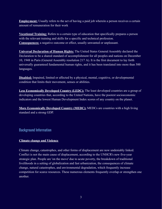**Employment:** Usually refers to the act of having a paid job wherein a person receives a certain amount of remuneration for their work

**Vocational Training:** Refers to a certain type of education that specifically prepares a person with the relevant training and skills for a specific and technical profession. **Consequences:** a negative outcome or effect, usually unwanted or unpleasant.

**Universal Declaration of Human Rights:** The United States General Assembly declared the Declaration to be a shared standard of accomplishment for all peoples and nations on December 10, 1948 in Paris (General Assembly resolution 217 A). It is the first document to lay forth universally guaranteed fundamental human rights, and it has been translated into more than 500 languages.

**Disabled:** Impaired, limited or affected by a physical, mental, cognitive, or developmental condition that limits their movement, senses or abilities.

**Less Economically Developed Country (LEDC):** The least developed countries are a group of developing countries that, according to the United Nations, have the poorest socioeconomic indicators and the lowest Human Development Index scores of any country on the planet.

**More Economically Developed Country (MEDC):** MEDCs are countries with a high living standard and a strong GDP.

# Background Information

### **Climate change and Violence**

Climate change, catastrophes, and other forms of displacement are now undeniably linked. Conflict is not the main cause of displacement, according to the UNHCR's new five-year strategic plan. People are 'on the move' due to acute poverty, the breakdown of traditional livelihoods in a setting of globalization and fast urbanization, the consequences of climate change, natural catastrophes, and environmental degradation, which frequently increase competition for scarce resources. These numerous elements frequently overlap or strengthen one another.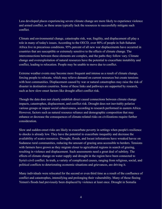Less developed places experiencing severe climate change are more likely to experience violence and armed conflict, as these areas typically lack the resources to successfully mitigate such conflict.

Climate and environmental change, catastrophe risk, war, fragility, and displacement all play a role in many of today's issues. According to the OECD, over 80% of people in Sub-Saharan Africa live in precarious conditions. 95% percent of all new war displacements have occurred in countries that are susceptible or extremely sensitive to the effects of climate change. The interconnections between these elements are complex, and the paths they follow vary. Climate change and overexploitation of natural resources have the potential to exacerbate instability and conflict, leading to relocation. People may be unable to move due to conflict.

Extreme weather events may become more frequent and intense as a result of climate change, forcing people to relocate, which may relieve demand on current resources but create tensions with host communities. Displacement caused by war or natural catastrophes may raise the risk of disaster in destination countries. Some of these links and pathways are supported by research, such as how slow-onset factors like drought affect conflict risk.

Though the data does not clearly establish direct causal connections between climate change impacts, catastrophes, displacement, and conflict risk. Drought does not inevitably polarize various groups or impair social cohesiveness, according to research performed in eastern Africa. However, factors such as natural resource reliance and demographic composition that may enhance or decrease the consequences of climate-related risks on civilizations require further consideration.

Slow and sudden-onset risks are likely to exacerbate poverty in settings when people's resilience to shocks is already low. They have the potential to exacerbate inequality and decrease the availability of scarce resources. Drought, floods, and locust infestations have wreaked havoc on Sudanese rural communities, reducing the amount of grazing area accessible to herders. Tensions with farmers have grown as they migrate closer to agricultural regions in search of grazing, resulting in violence and displacement. Such assessments need a great deal of subtlety. The effects of climate change on water supply and drought in the region have been connected to Syria's civil conflict. In truth, a variety of complicated causes, ranging from religious, social, and political conflicts to deteriorating economic situations and grievances, are driving it.

Many individuals were relocated for the second or even third time as a result of the confluence of conflict and catastrophes, intensifying and prolonging their vulnerability. Many of those fleeing Yemen's floods had previously been displaced by violence at least once. Drought in Somalia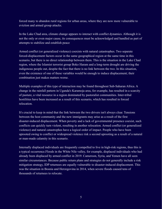forced many to abandon rural regions for urban areas, where they are now more vulnerable to eviction and armed group attacks.

In the Lake Chad area, climate change appears to interact with conflict dynamics. Although it is not the only or even major cause, its consequences must be acknowledged and handled as part of attempts to stabilize and establish peace

Armed conflict (or generalized violence) coexists with natural catastrophes. Two separate forced-displacement factors occur in the same geographical region at the same time in this scenario, but there is no direct relationship between them. This is the situation in the Lake Chad region, where the Islamist terrorist group Boko Haram and a long-term drought are driving the indigenous people out, despite the fact that there is no link between the two. In this situation, even the existence of one of these variables would be enough to induce displacement; their combination just makes matters worse.

Multiple examples of this type of interaction may be found throughout Sub-Saharan Africa. A change in the rainfall pattern in Uganda's Karamoja area, for example, has resulted in a scarcity of pasture, a vital resource in a region dominated by pastoralist communities. Inter-tribal hostilities have been increased as a result of this scenario, which has resulted in forced relocation.

It's crucial to keep in mind that the link between the two drivers isn't always clear. Tensions between the host community and the new immigrants may arise as a result of the first disaster-induced displacement. When poverty and a lack of governmental presence coexist, such conflicts can quickly turn violent, resulting in another relocation. Armed conflict (or generalized violence) and natural catastrophes have a logical order of impact. People who have been uprooted owing to conflict or widespread violence risk a second uprooting as a result of a natural or man-made calamity in this scenario.

Internally displaced individuals are frequently compelled to live in high-risk regions, thus this is a typical occurrence.Floods in the White Nile valley, for example, displaced individuals who had already been displaced by armed conflict in 2019. Cameroon, Syria, and Yemen have all seen similar circumstances. Because public return plans and strategies do not generally include a risk mitigation strategy, IDP returnees are equally vulnerable to disaster-induced displacement. This was the situation in Bosnia and Herzegovina in 2014, when severe floods caused tens of thousands of returnees to relocate.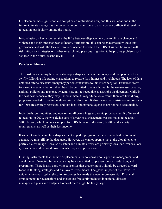Displacement has significant and complicated motivations now, and this will continue in the future. Climate change has the potential to both contribute to and worsen conflicts that result in relocation, particularly among the youth.

In conclusion, a key issue remains the links between displacement due to climate change and violence and their interchangeable factors. Furthermore, this can be exacerbated without any governance and with the lack of resources needed to sustain the IDPs. This can be solved with risk mitigation strategies or further research into previous migration to help solve problems such as these in the future, essentially in LEDCs.

### **Policies on Finance**

The most prevalent myth is that catastrophe displacement is temporary, and that people return swiftly following life-saving evacuations to restore their homes and livelihoods. The lack of data obtained after a disaster's emergency period contributes to this misconception. Evacuees aren't followed to see whether or when they'll be permitted to return home. In the worst-case scenario, national policies and response systems may fail to recognize catastrophe displacement, while in the best-case scenario, they may underestimate its magnitude. As a result, there are few, if any, programs devoted to dealing with long-term relocation. It also means that assistance and services for IDPs are severely restricted, and that local and national agencies are not held accountable.

Individuals, communities, and economies all bear a huge economic price as a result of internal relocation. In 2020, the worldwide cost of a year of displacement was estimated to be about \$20.5 billion, which includes support for IDPs' housing, education, health, and security requirements, as well as their lost income.

If we are to understand how displacement impedes progress on the sustainable development agenda, we must fill up the data gaps. However, we cannot operate just at the global level to portray a clear image. Because disasters and climate effects are primarily local occurrences, local governments and national governments play an important role.

Funding instruments that include displacement risk concerns into larger risk management and development financing frameworks may be more suited for prevention, risk reduction, and preparation. There is also a growing consensus that greater money should be directed toward forward-thinking strategies and risk-aware investments. The global impact of the Covid-19 epidemic on catastrophe relocation responses has made this even more essential. Financial arrangements for evacuations and shelter are frequently included in national disaster management plans and budgets. Some of them might be fairly large.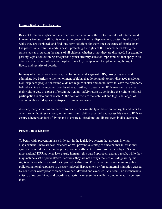### **Human Rights in Displacement**

Respect for human rights and, in armed conflict situations, the protective rules of international humanitarian law are all that is required to prevent internal displacement, protect the displaced while they are displaced, and find long-term solutions for them once the cause of displacement has passed. As a result, in certain cases, protecting the rights of IDPs necessitates taking the same steps as protecting the rights of all citizens, whether or not they are displaced. For example, passing legislation outlining safeguards against arbitrary arrest or imprisonment that apply to all citizens, whether or not they are displaced, is a key component of implementing the right to liberty and security of people.

In many other situations, however, displacement works against IDPs, posing physical and administrative barriers to their enjoyment of rights that do not apply to non-displaced residents. Non-displaced people, for example, do not require shelter and do not have to leave their property behind, risking it being taken over by others. Further, In cases when IDPs may only exercise their right to vote at a place of origin they cannot safely return to, achieving the right to political participation is also out of reach. At the core of this are the technical and legal challenges of dealing with such displacement-specific protection needs.

As such, many solutions are needed to ensure that essentially all basic human rights and later the others are without restrictions, to their maximum ability provided and accessible even to IDPs to ensure a better standard of living and to ensure all freedoms and liberty even in displacement.

### **Prevention of Disaster**

To begin with, prevention has a little part in the legislative system that governs internal displacement. There are few instances of real preventive strategies since neither international agreements nor domestic public policy contain sufficient dispositions on the subject. Second, most national DRR policies lack a truly human rights-based approach, and as a result, while they may include a set of preventative measures, they are not always focused on safeguarding the rights of those who are at risk or impacted by disasters. Finally, as totally autonomous public policies, national responses to disaster-induced displacement or forced internal migration caused by conflict or widespread violence have been devised and executed. As a result, no mechanisms exist to allow combined and coordinated activity, or even the smallest complementarity between them.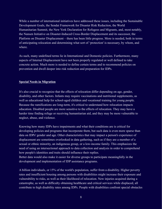While a number of international initiatives have addressed these issues, including the Sustainable Development Goals, the Sendai Framework for Disaster Risk Reduction, the World Humanitarian Summit, the New York Declaration for Refugees and Migrants, and, most notably, the Nansen Initiative on Disaster-Induced Cross-Border Displacement and its successor, the Platform on Disaster Displacement – there has been little progress. More is needed, both in terms of anticipating relocation and determining what sort of 'protection' is necessary, by whom, and where.

As such, many undefined terms lie in International and Domestic policies. Furthermore, many aspects of Internal Displacement have not been properly regulated or well defined to take concrete action. Much more is needed to define certain terms and to recommend policies on prevention and dwell deeper into risk reduction and preparation for IDPs.

### **Special Needs in Migration**

It's also crucial to recognize that the effects of relocation differ depending on age, gender, disability, and other factors. Infants may require vaccinations and nutritional supplements, as well as educational help for school-aged children and vocational training for young people. Because the ramifications are long-term, it's critical to understand how relocation impacts education. Disabled people are more sensitive to the effects of relocation. They may have a harder time finding refuge or receiving humanitarian aid, and they may be more vulnerable to neglect, abuse, and violence.

Knowing how many IDPs have impairments and what their conditions are is critical for developing policies and programs that incorporate them, but such data is even more sparse than data on IDPs' gender and age. Other characteristics that may impact a person's experience of displacement are sometimes overlooked in data gathering, such as if they are a member of a sexual or ethnic minority, an indigenous group, or a low-income family. This emphasizes the need of using an intersectional approach to data collection and analysis in order to comprehend how people's identities and traits should influence their replies. Better data would also make it easier for diverse groups to participate meaningfully in the development and implementation of IDP assistance programs.

A billion individuals, or 15% of the world's population, suffer from a disability. Higher poverty rates and insufficient housing among persons with disabilities might increase their exposure and vulnerability to risks, as well as their likelihood of relocation. New injuries acquired during a catastrophe, as well as difficulty obtaining healthcare and critical services while displaced, all contribute to high disability rates among IDPs. People with disabilities confront special obstacles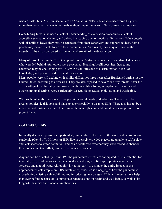when disaster hits. After hurricane Pam hit Vanuatu in 2015, researchers discovered they were more than twice as likely as individuals without impairments to suffer storm-related injuries.

Contributing factors included a lack of understanding of evacuation procedures, a lack of accessible evacuation shelters, and delays in escaping due to functional limitations. When people with disabilities leave, they may be separated from their caregivers and support devices. Some people may never be able to leave their communities. As a result, they may not survive the tragedy, or they may be forced to live in the aftermath of the devastation.

Many of those killed in the 2018 Camp wildfire in California were elderly and disabled persons who were left behind after others were evacuated. Housing, livelihoods, healthcare, and education may be challenging for IDPs with disabilities due to discrimination, a lack of knowledge, and physical and financial constraints.

Many people were still dealing with similar difficulties three years after Hurricane Katrina hit the United States, according to a research. They are also exposed to severe security threats. After the 2015 earthquake in Nepal, young women with disabilities living in displacement camps and other communal settings were particularly susceptible to sexual exploitation and trafficking.

With such vulnerabilities towards people with special needs or disabilities. There has to be greater policies, legislations and plans to cater specially to disabled IDPs. There also has to be a much catered lookout for them to ensure all human rights and additional needs are provided to protect them.

### **COVID-19 for IDPs**

Internally displaced persons are particularly vulnerable in the face of the worldwide coronavirus pandemic (Covid-19). Millions of IDPs live in densely crowded places, are unable to self-isolate, and lack access to water, sanitation, and basic healthcare, whether they were forced to abandon their homes due to conflict, violence, or natural disasters.

Anyone can be affected by Covid-19. The pandemic's effects are anticipated to be substantial for internally displaced persons (IDPs), who already struggle to find appropriate shelter, vital services, and a good wage. Although it is yet too early to estimate the entire impact of this unprecedented catastrophe on IDPs' livelihoods, evidence is emerging of how the pandemic is exacerbating existing vulnerabilities and introducing new dangers. IDPs will require more help than ever before because of its immediate repercussions on health and well-being, as well as its longer-term social and financial implications.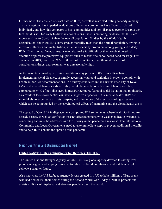Furthermore, The absence of exact data on IDPs, as well as restricted testing capacity in many crisis-hit regions, has impeded evaluations of how the coronavirus has affected displaced individuals, and how this compares to host communities and non-displaced people. Despite the fact that it is still too early to draw any conclusions, there is mounting evidence that IDPs are more sensitive to Covid-19 than the overall population. Studies by the World Health Organization, show that IDPs have greater mortality rates than the normal population, owing to infectious illnesses and malnutrition, which is especially prominent among young and elderly IDPs. Their limited financial means may also make it difficult for them to obtain medical attention or purchase protective equipment such as masks or alcohol-based hand massage. For example, in 2019, more than 90% of those polled in Basra, Iraq, thought the cost of consultations, drugs, and treatment was unreasonably high.

At the same time, inadequate living conditions may prevent IDPs from self-isolating, implementing social distance, or simply accessing water and sanitation in order to comply with health authorities' recommendations. In a survey conducted in the Burkina Faso city of Kaya, 87% of displaced families indicated they would be unable to isolate an ill family member, compared to 64 % of non-displaced homes.Furthermore, fear and social isolation that might arise as a result of lock-down tactics can have a negative impact on IDPs' mental health. IDPs are more likely to experience anxiety, despair, and other types of distress, according to research, which can be compounded by the psychological effects of quarantine and the global health crisis.

The spread of Covid-19 in displacement camps and IDP settlements, where health facilities are already scarce, as well as conflict or disaster-affected nations with weakened health systems, is concerning and must be addressed as a top priority in the pandemic's response. The International Community and Local Governments need to take immediate steps to prevent additional mortality and to help IDPs contain the spread of the pandemic.

# Major Countries and Organizations Involved

### **United Nations High Commissioner for Refugees (UNHCR)**

The United Nations Refugee Agency, or UNHCR, is a global agency devoted to saving lives, preserving rights, and helping refugees, forcibly displaced populations, and stateless people achieve a brighter future.

Also known as the UN Refugee Agency. It was created in 1950 to help millions of Europeans who had fled or lost their homes during the Second World War. Today, UNHCR protects and assists millions of displaced and stateless people around the world.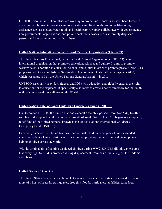UNHCR personnel in 134 countries are working to protect individuals who have been forced to abandon their homes, improve access to education and livelihoods, and offer life-saving assistance such as shelter, water, food, and health care. UNHCR collaborates with governments, non-governmental organizations, and private-sector businesses to assist forcibly displaced persons and the communities that host them.

### **United Nations Educational Scientific and Cultural Organization (UNESCO)**

The United Nations Educational, Scientific, and Cultural Organization (UNESCO) is an international organization that promotes education, science, and culture. It aims to promote worldwide collaboration in education, science, and culture in order to promote peace. UNESCO's programs help to accomplish the Sustainable Development Goals outlined in Agenda 2030, which was approved by the United Nations General Assembly in 2015.

UNESCO essentially provides refugees and IDPs with education and globally ensures the right to education for the displaced. It specifically also looks to create a better tomorrow for the Youth with its educational tools all around the World.

### **United Nations International Children's Emergency Fund (UNICEF)**

On December 11, 1946, the United Nations General Assembly passed Resolution 57(I) to offer supplies and support to children in the aftermath of World War II. UNICEF began as a temporary relief fund of the United Nations, known as the United Nations International Children's Emergency Fund (UNICEF).

Eventually later on The United Nations International Children Emergency Fund's extended mandate made it a United Nations organisation that provides humanitarian and developmental help to children across the world.

With its original aim of helping displaced children during WW2, UNICEF till this day ensures that every right to child is protected during displacement, from basic human rights, to freedoms and liberties.

### **United States of America**

The United States is extremely vulnerable to natural disasters. Every state is exposed to one or more of a host of hazards: earthquakes, droughts, floods, hurricanes, landslides, tornadoes,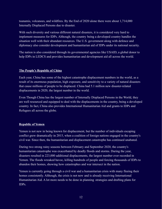tsunamis, volcanoes, and wildfires. By the End of 2020 alone there were about 1,714,000 Internally Displaced Persons due to disaster.

With such diversity and various different natural disasters, it is considered very hard to implement measures for IDPs. Although, the country being a developed country handles the situation well with their abundant resources. The U.S. government along with defence and diplomacy also consider development and humanitarian aid of IDPs under its national security.

The nation is also considered through its governmental agencies like USAID, a global donor to help IDPs in LEDCS and provides humanitarian and development aid all across the world.

### **The People's Republic of China**

Each year, China has some of the highest catastrophe displacement numbers in the world, as a result of its enormous population, high exposure, and sensitivity to a variety of natural disasters that cause millions of people to be displaced. China had 5.1 million new disaster-related displacements in 2020, the largest number in the world.

Even Though China has the largest number of Internally Displaced Persons in the World, they are well resourced and equipped to deal with the displacements in the country, being a developed country. In fact, China also provides International Humanitarian Aid and grants to IDPs and Refugees all across the globe.

### **Republic of Yemen**

Yemen is not new in being known for displacement, but the number of individuals escaping conflict grew dramatically in 2015, when a coalition of foreign nations engaged in the country's civil war. Since then, the humanitarian and displacement catastrophe has continued unabated.

During two strong rainy seasons between February and September 2020, the country's humanitarian catastrophe was exacerbated by deadly floods and storms. During the year, disasters resulted in 223,000 additional displacements, the largest number ever recorded in Yemen. The floods wreaked havoc, killing hundreds of people and forcing thousands of IDPs to abandon their homes, showing how catastrophes and war intersect in the nation.

Yemen is currently going through a civil war and a humanitarian crisis with many fleeing their homes consistently. Although, the crisis is not new and is already receiving International Humanitarian Aid. A lot more needs to be done in planning strategies and drafting plans for IDPs.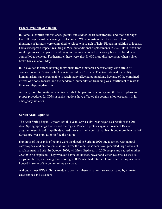### **Federal republic of Somalia**

In Somalia, conflict and violence, gradual and sudden-onset catastrophes, and food shortages have all played a role in causing displacement. When locusts ruined their crops, tens of thousands of farmers were compelled to relocate in search of help. Floods, in addition to locusts, had a widespread impact, resulting in 979,000 additional displacements in 2020. Both urban and rural regions were impacted, and many individuals who had previously been displaced were compelled to relocate. Furthermore, there were also 81,000 more displacements when a river broke bank in about May.

IDPs avoided locations housing individuals from other areas because they were afraid of congestion and infection, which was impacted by Covid-19. Due to continued instability, humanitarians have been unable to reach many affected populations. Because of the combined effects of floods, locusts, and the pandemic, humanitarian financing was insufficient to react to these overlapping disasters.

As such, more International attention needs to be paid to the country and the lack of plans and proper procedures for IDPs in such situations have affected the country a lot, especially in its emergency situation

### **Syrian Arab Republic**

The Arab Spring began 10 years ago this year.. Syria's civil war began as a result of the 2011 Arab Spring uprisings that rocked the region. Peaceful protests against President Bashar al-government Assad's rapidly devolved into an armed conflict that has forced more than half of Syria's pre-war population to flee the nation.

Hundreds of thousands of people were displaced in Syria in 2020 due to armed war, natural catastrophes, and an economic slump. Over the years, disasters have generated large waves of displacement in Syria. In October 2020, wildfires displaced 140,000 people and caused another 25,000 to be displaced. They wreaked havoc on houses, power and water systems, as well as crops and farms, increasing food shortages. IDPs who had returned home after fleeing war were housed in some of the communities evacuated.

Although most IDPs in Syria are due to conflict, these situations are exacerbated by climate catastrophes and disasters.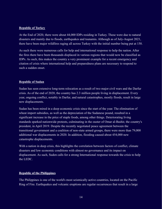### **Republic of Turkey**

At the End of 2020, there were about 44,000 IDPs residing in Turkey. These were due to natural disasters and mainly due to floods, earthquakes and tsunamis. Although as of July-August 2021, there have been major wildfires raging all across Turkey with the initial number being put at 150.

As such there were numerous calls for help and international response to help the nation. After the fires there have been thousands displaced in various regions that would now be classified as IDPs. As such, this makes the country a very prominent example for a recent emergency and citation of crisis where international help and preparedness plans are necessary to respond to such a sudden onset.

### **Republic of Sudan**

Sudan has seen extensive long-term relocation as a result of two major civil wars and the Darfur crisis. As of the end of 2020, the country has 2.3 million people living in displacement. Every year, ongoing conflict, notably in Darfur, and natural catastrophes, mostly floods, result in large new displacements.

Sudan has been mired in a deep economic crisis since the start of the year. The elimination of wheat import subsidies, as well as the depreciation of the Sudanese pound, resulted in a significant increase in the price of staple foods, among other things. Deteriorating living standards sparked nationwide protests, culminating in the ouster of Omar al-Bashir, the country's president, in April 2019. Despite the recently negotiated peace agreement between the transitional government and a coalition of non-state armed groups, there were more than 79,000 additional war displacements in 2020. In addition, flooding caused about 454,000 new catastrophe displacements.

With a nation in deep crisis, this highlights the correlation between factors of conflict, climate disasters and low economic conditions with almost no governance and its impact on displacement. As such, Suden calls for a strong International response towards the crisis to help the LEDC.

### **Republic of the Philippines**

The Philippines is one of the world's most seismically active countries, located on the Pacific Ring of Fire. Earthquakes and volcanic eruptions are regular occurrences that result in a large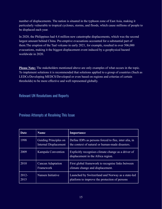number of displacements. The nation is situated in the typhoon zone of East Asia, making it particularly vulnerable to tropical cyclones, storms, and floods, which cause millions of people to be displaced each year.

In 2020, the Philippines had 4.4 million new catastrophe displacements, which was the second largest amount behind China. Pre-emptive evacuations accounted for a substantial part of them.The eruption of the Taal volcano in early 2021, for example, resulted in over 506,000 evacuations, making it the biggest displacement event induced by a geophysical hazard worldwide in 2020.

**Please Note:** The stakeholders mentioned above are only examples of what occurs in the topic. To implement solutions it is recommended that solutions applied to a group of countries (Such as LEDCs/Developing MEDCS/Developed or even based on regions and criterias of certain thresholds) to be more effective and well represented globally.

# Relevant UN Resolutions and Reports

Previous Attempts at Resolving This Issue

| Date             | <b>Name</b>                                           | Importance                                                                                               |
|------------------|-------------------------------------------------------|----------------------------------------------------------------------------------------------------------|
| 1998             | Guiding Principles on<br><b>Internal Displacement</b> | Define IDPs as persons forced to flee, inter alia, in<br>the context of natural or human-made disasters. |
| 2009             | Kampala Convention                                    | Explicitly recognises climate change as a driver of<br>displacement in the Africa region.                |
| 2010             | Cancun Adaptation<br>Framework                        | First global framework to recognise links between<br>climate change and displacement.                    |
| $2012 -$<br>2015 | Nansen Initiative                                     | Launched by Switzerland and Norway as a state-led<br>platform to improve the protection of persons       |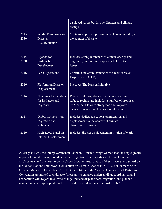|                  |                                                                 | displaced across borders by disasters and climate<br>change.                                                                                                                                    |
|------------------|-----------------------------------------------------------------|-------------------------------------------------------------------------------------------------------------------------------------------------------------------------------------------------|
| $2015 -$<br>2030 | Sendai Framework on<br><b>Disaster</b><br><b>Risk Reduction</b> | Contains important provisions on human mobility in<br>the context of disaster.                                                                                                                  |
| $2015 -$<br>2030 | Agenda for<br>Sustainable<br>Development                        | Includes strong references to climate change and<br>migration, but does not explicitly link the two<br>issues.                                                                                  |
| 2016             | Paris Agreement                                                 | Confirms the establishment of the Task Force on<br>Displacement (TFD).                                                                                                                          |
| 2016             | <b>Platform on Disaster</b><br>Displacement                     | Succeeds The Nansen Initiative.                                                                                                                                                                 |
| 2016             | <b>New York Declaration</b><br>for Refugees and<br>Migrants     | Reaffirms the significance of the international<br>refugee regime and includes a number of promises<br>by Member States to strengthen and improve<br>measures to safeguard persons on the move. |
| 2018             | Global Compacts on<br>Migration and<br>Refugees                 | Includes dedicated sections on migration and<br>displacement in the context of climate<br>change and disasters.                                                                                 |
| 2019             | High-Level Panel on<br><b>Internal Displacement</b>             | Includes disaster displacement in its plan of work                                                                                                                                              |

As early as 1990, the Intergovernmental Panel on Climate Change warned that the single greatest impact of climate change could be human migration. The importance of climate-induced displacement and the need to put in place adaptation measures to address it were recognized by the United Nations Framework Convention on Climate Change (UNFCCC) at its meeting in Cancun, Mexico in December 2010. In Article 14 (f) of the Cancun Agreement, all Parties to the Convention are invited to undertake "measures to enhance understanding, coordination and cooperation with regard to climate change-induced displacement, migration, and planned relocation, where appropriate, at the national, regional and international levels."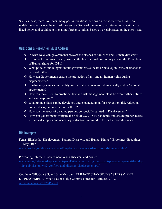Such as these, there have been many past international actions on this issue which has been widely prevalent since the start of the century. Some of the major past international actions are listed below and could help in making further solutions based on or elaborated on the ones listed.

# Questions a Resolution Must Address

- ❖ In what ways can governments prevent the clashes of Violence and Climate disasters?
- ❖ In cases of poor governance, how can the International community ensure the Protection of Human rights for IDPs?
- ❖ What policies and budgets should governments allocate or develop in terms of finance to help aid IDPs?
- ❖ How can Governments ensure the protection of any and all human rights during displacements?
- ❖ In what ways can accountability for the IDPs be increased domestically and in National governments?
- ❖ How can the current International law and risk management plans be even further defined and well explored?
- ❖ What unique plans can be developed and expanded upon for prevention, risk reduction, preparedness, and relocation for IDPs?
- ❖ How can the needs of disabled persons be specially curated in Displacement?
- ❖ How can governments mitigate the risk of COVID-19 pandemic and ensure proper access to medical supplies and necessary restrictions required to lower the mortality rate?

# **Bibliography**

# Ferris, Elizabeth. "Displacement, Natural Disasters, and Human Rights." Brookings, Brookings, 10 May 2017,

[www.brookings.edu/on-the-record/displacement-natural-disasters-and-human-rights/](http://www.brookings.edu/on-the-record/displacement-natural-disasters-and-human-rights/)

### Preventing Internal Displacement When Disasters and Armed ...

[www.un.org/internal-displacement-panel/sites/www.un.org.internal-displacement-panel/files/idrp](http://www.un.org/internal-displacement-panel/sites/www.un.org.internal-displacement-panel/files/idrp_hlp_submission_ws2_conflict_and_disaster_displacement.pdf) hlp\_submission\_ws2\_conflict\_and\_disaster\_displacement.pdf

# Goodwin-Gill, Guy S S, and Jane McAdam. CLIMATE CHANGE, DISASTERS & AND DISPLACEMENT. United Nations High Commissioner for Refugees, 2017,

[www.unhcr.org/596f25467.pdf](http://www.unhcr.org/596f25467.pdf)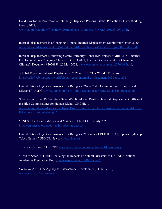Handbook for the Protection of Internally Displaced Persons. Global Protection Cluster Working Group, 2007,

[www.un.org/ruleoflaw/files/IDP%20Handbook\\_Complete\\_FINAL%20Jan%2008.pdf.](http://www.un.org/ruleoflaw/files/IDP%20Handbook_Complete_FINAL%20Jan%2008.pdf)

Internal Displacement in a Changing Climate. Internal Displacement Monitoring Center, 2020, [www.internal-displacement.org/sites/default/files/publications/documents/grid2021\\_idmc.pdf](http://www.internal-displacement.org/sites/default/files/publications/documents/grid2021_idmc.pdf)

Internal Displacement Monitoring Centre (formerly Global IDP Project). "GRID 2021; Internal Displacement in a Changing Climate." "GRID 2021; Internal Displacement in a Changing Climate", Document #2056938, 20 May 2021, [www.ecoi.net/en/document/2056938.html](http://www.ecoi.net/en/document/2056938.html).

"Global Report on Internal Displacement 2021 (Grid 2021) - World." ReliefWeb, <https://reliefweb.int/report/world/global-report-internal-displacement-2021-grid-2021>

United Nations High Commissioner for Refugees. "New York Declaration for Refugees and Migrants." UNHCR, [www.unhcr.org/new-york-declaration-for-refugees-and-migrants.html.](http://www.unhcr.org/new-york-declaration-for-refugees-and-migrants.html)

Submission to the UN Secretary General's High-Level Panel on Internal Displacement. Office of the High Commissioner for Human Rights (OHCHR) ,

[www.un.org/internal-displacement-panel/sites/www.un.org.internal-displacement-panel/files/pub](http://www.un.org/internal-displacement-panel/sites/www.un.org.internal-displacement-panel/files/published_ohchr_submission.pdf) lished ohchr submission.pdf.

"UNESCO in Brief - Mission and Mandate." UNESCO, 12 July 2021, <https://en.unesco.org/about-us/introducing-unesco>.

United Nations High Commissioner for Refugees. "Courage of REFUGEE Olympians Lights up Tokyo Games." UNHCR News, [www.unhcr.org/](http://www.unhcr.org/).

"History of a Logo." UNICEF, [www.unicef.org/about-unicef/unicef-logo-history.](http://www.unicef.org/about-unicef/unicef-logo-history)

"Read 'a Safer FUTURE: Reducing the Impacts of Natural Disasters' at NAP.edu." National Academies Press: OpenBook, [www.nap.edu/read/1840/chapter/3](http://www.nap.edu/read/1840/chapter/3).

"Who We Are." U.S. Agency for International Development, 4 Oct. 2019, [www.usaid.gov/who-we-are](http://www.usaid.gov/who-we-are).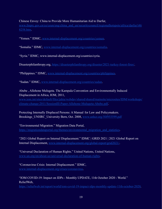### Chinese Envoy: China to Provide More Humanitarian Aid to Darfur,

[www.fmprc.gov.cn/ce/ceun/eng/china\\_and\\_un/securitycouncil/regionalhotspots/africa/darfur/t46](http://www.fmprc.gov.cn/ce/ceun/eng/china_and_un/securitycouncil/regionalhotspots/africa/darfur/t468258.htm) [8258.htm.](http://www.fmprc.gov.cn/ce/ceun/eng/china_and_un/securitycouncil/regionalhotspots/africa/darfur/t468258.htm)

"Yemen." IDMC, [www.internal-displacement.org/countries/yemen](http://www.internal-displacement.org/countries/yemen).

"Somalia." IDMC, [www.internal-displacement.org/countries/somalia](http://www.internal-displacement.org/countries/somalia).

"Syria." IDMC, www.internal-displacement.org/countries/syria.

Disasterphilanthropy.org, [https://disasterphilanthropy.org/disaster/2021-turkey-forest-fires/.](https://disasterphilanthropy.org/disaster/2021-turkey-forest-fires/)

"Philippines." IDMC, [www.internal-displacement.org/countries/philippines.](http://www.internal-displacement.org/countries/philippines)

"Sudan." IDMC, [www.internal-displacement.org/countries/sudan.](http://www.internal-displacement.org/countries/sudan)

# Abebe , Allehone Mulugeta. The Kampala Convention and Environmentally Induced Displacement in Africa, IOM, 2011,

[www.iom.int/sites/default/files/jahia/webdav/shared/shared/mainsite/microsites/IDM/workshops/](http://www.iom.int/sites/default/files/jahia/webdav/shared/shared/mainsite/microsites/IDM/workshops/climate-change-2011/SessionIII-Paper-Allehone-Mulugeta-Abebe.pdf) [climate-change-2011/SessionIII-Paper-Allehone-Mulugeta-Abebe.pdf](http://www.iom.int/sites/default/files/jahia/webdav/shared/shared/mainsite/microsites/IDM/workshops/climate-change-2011/SessionIII-Paper-Allehone-Mulugeta-Abebe.pdf).

Protecting Internally Displaced Persons: A Manual for Law and Policymakers. Brookings\_UNHRC\_University Bern, Oct. 2008, [www.unhcr.org/50f955599.pdf](http://www.unhcr.org/50f955599.pdf)

"Environmental Migration." Migration Data Portal, [https://migrationdataportal.org/themes/environmental\\_migration\\_and\\_statistics](https://migrationdataportal.org/themes/environmental_migration_and_statistics).

"2021 Global Report on Internal Displacement." IDMC | GRID 2021 | 2021 Global Report on Internal Displacement, [www.internal-displacement.org/global-report/grid2021/](http://www.internal-displacement.org/global-report/grid2021/).

"Universal Declaration of Human Rights." United Nations, United Nations, [www.un.org/en/about-us/universal-declaration-of-human-rights.](http://www.un.org/en/about-us/universal-declaration-of-human-rights)

"Coronavirus Crisis: Internal Displacement." IDMC, [www.internal-displacement.org/crises/coronavirus.](http://www.internal-displacement.org/crises/coronavirus)

"IOM COVID-19: Impact on IDPs - Monthly UPDATE, 11th October 2020 - World." ReliefWeb,

[https://reliefweb.int/report/world/iom-covid-19-impact-idps-monthly-update-11th-october-2020.](https://reliefweb.int/report/world/iom-covid-19-impact-idps-monthly-update-11th-october-2020)